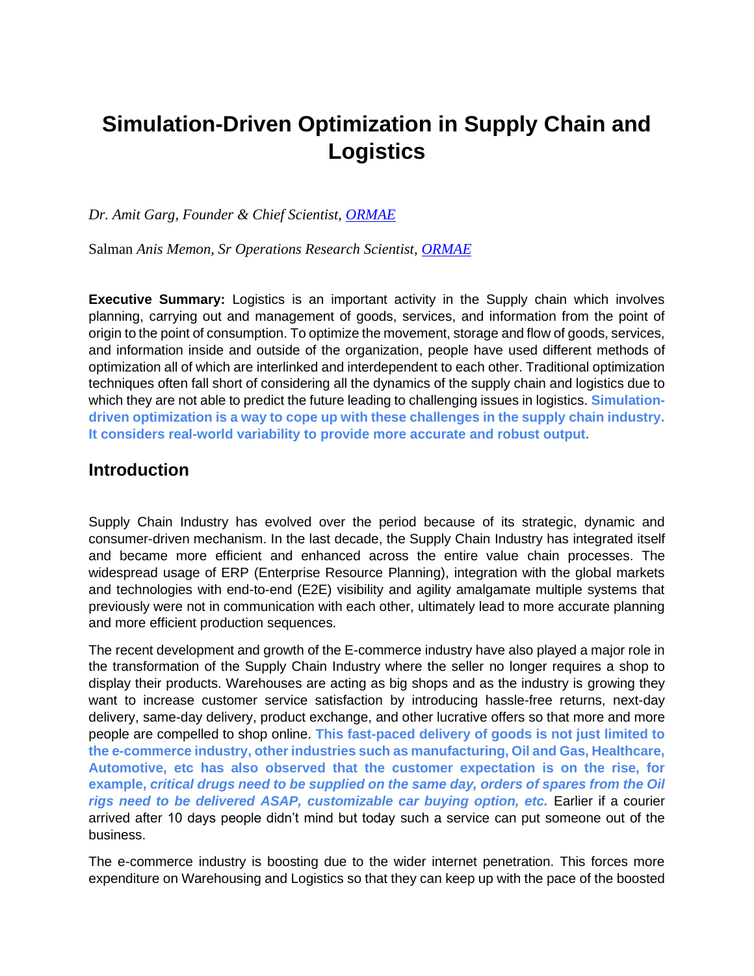# **Simulation-Driven Optimization in Supply Chain and Logistics**

*Dr. Amit Garg, Founder & Chief Scientist, [ORMAE](http://www.ormae.com/)*

[Salman](http://mailto:amit@ormae.com) *Anis Memon, Sr Operations Research Scientist, [ORMAE](http://www.ormae.com/)*

**Executive Summary:** Logistics is an important activity in the Supply chain which involves planning, carrying out and management of goods, services, and information from the point of origin to the point of consumption. To optimize the movement, storage and flow of goods, services, and information inside and outside of the organization, people have used different methods of optimization all of which are interlinked and interdependent to each other. Traditional optimization techniques often fall short of considering all the dynamics of the supply chain and logistics due to which they are not able to predict the future leading to challenging issues in logistics. **Simulationdriven optimization is a way to cope up with these challenges in the supply chain industry. It considers real-world variability to provide more accurate and robust output.**

#### **Introduction**

Supply Chain Industry has evolved over the period because of its strategic, dynamic and consumer-driven mechanism. In the last decade, the Supply Chain Industry has integrated itself and became more efficient and enhanced across the entire value chain processes. The widespread usage of ERP (Enterprise Resource Planning), integration with the global markets and technologies with end-to-end (E2E) visibility and agility amalgamate multiple systems that previously were not in communication with each other, ultimately lead to more accurate planning and more efficient production sequences.

The recent development and growth of the E-commerce industry have also played a major role in the transformation of the Supply Chain Industry where the seller no longer requires a shop to display their products. Warehouses are acting as big shops and as the industry is growing they want to increase customer service satisfaction by introducing hassle-free returns, next-day delivery, same-day delivery, product exchange, and other lucrative offers so that more and more people are compelled to shop online. **This fast-paced delivery of goods is not just limited to the e-commerce industry, other industries such as manufacturing, Oil and Gas, Healthcare, Automotive, etc has also observed that the customer expectation is on the rise, for example,** *critical drugs need to be supplied on the same day, orders of spares from the Oil rigs need to be delivered ASAP, customizable car buying option, etc.* Earlier if a courier arrived after 10 days people didn't mind but today such a service can put someone out of the business.

The e-commerce industry is boosting due to the wider internet penetration. This forces more expenditure on Warehousing and Logistics so that they can keep up with the pace of the boosted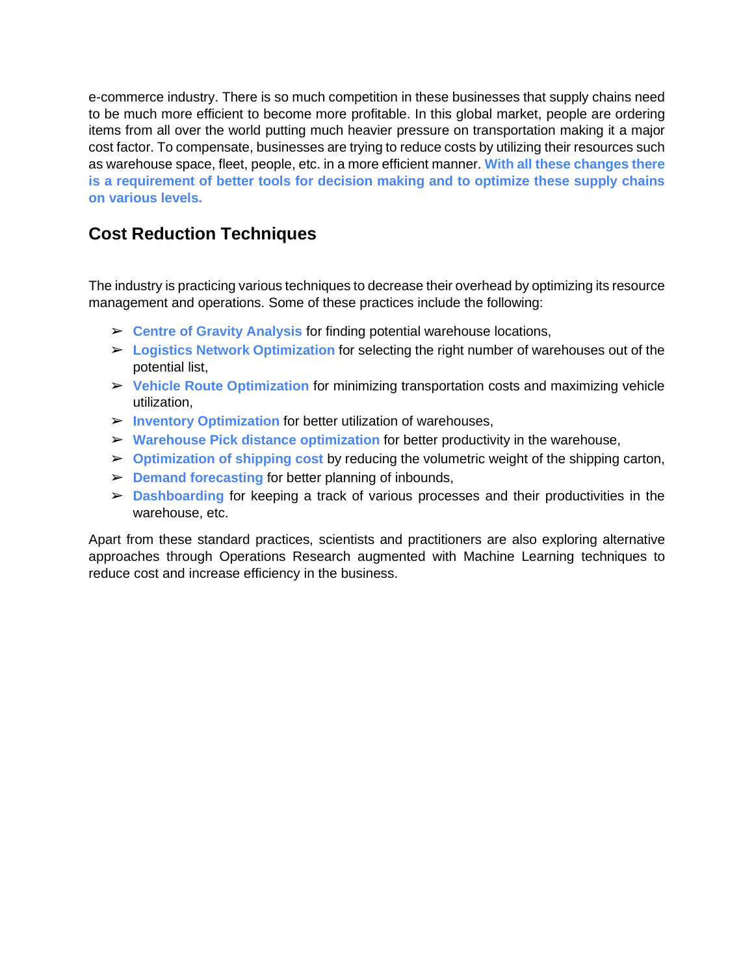e-commerce industry. There is so much competition in these businesses that supply chains need to be much more efficient to become more profitable. In this global market, people are ordering items from all over the world putting much heavier pressure on transportation making it a major cost factor. To compensate, businesses are trying to reduce costs by utilizing their resources such as warehouse space, fleet, people, etc. in a more efficient manner. **With all these changes there is a requirement of better tools for decision making and to optimize these supply chains on various levels.**

# **Cost Reduction Techniques**

The industry is practicing various techniques to decrease their overhead by optimizing its resource management and operations. Some of these practices include the following:

- ➢ **Centre of Gravity Analysis** for finding potential warehouse locations,
- ➢ **Logistics Network Optimization** for selecting the right number of warehouses out of the potential list,
- ➢ **Vehicle Route Optimization** for minimizing transportation costs and maximizing vehicle utilization,
- ➢ **Inventory Optimization** for better utilization of warehouses,
- ➢ **Warehouse Pick distance optimization** for better productivity in the warehouse,
- ➢ **Optimization of shipping cost** by reducing the volumetric weight of the shipping carton,
- ➢ **Demand forecasting** for better planning of inbounds,
- ➢ **Dashboarding** for keeping a track of various processes and their productivities in the warehouse, etc.

Apart from these standard practices, scientists and practitioners are also exploring alternative approaches through Operations Research augmented with Machine Learning techniques to reduce cost and increase efficiency in the business.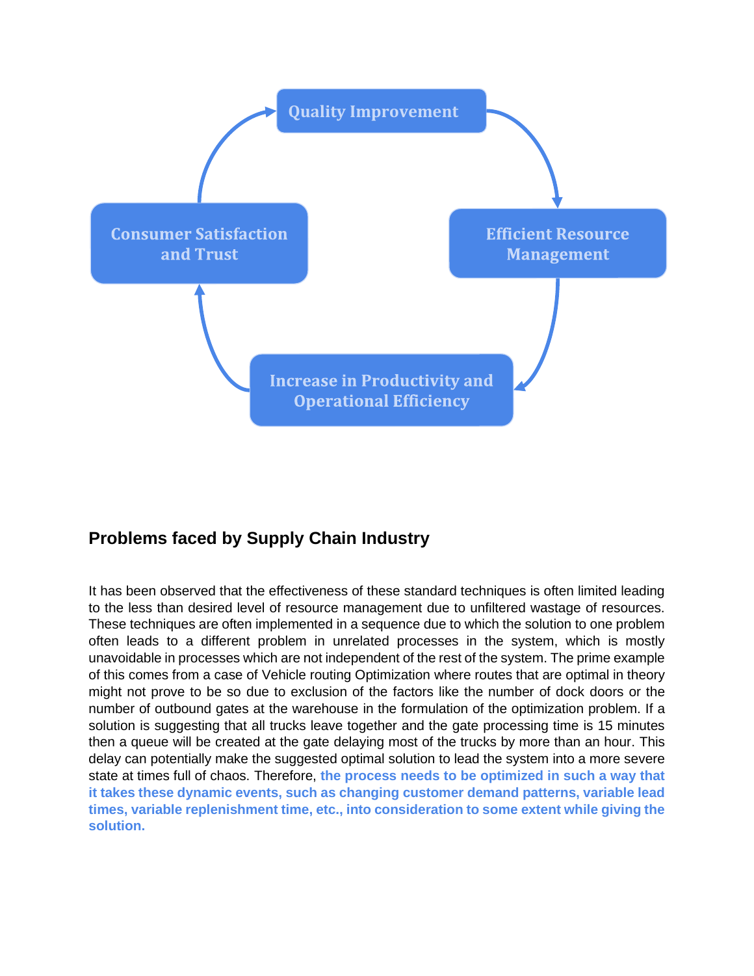

# **Problems faced by Supply Chain Industry**

It has been observed that the effectiveness of these standard techniques is often limited leading to the less than desired level of resource management due to unfiltered wastage of resources. These techniques are often implemented in a sequence due to which the solution to one problem often leads to a different problem in unrelated processes in the system, which is mostly unavoidable in processes which are not independent of the rest of the system. The prime example of this comes from a case of Vehicle routing Optimization where routes that are optimal in theory might not prove to be so due to exclusion of the factors like the number of dock doors or the number of outbound gates at the warehouse in the formulation of the optimization problem. If a solution is suggesting that all trucks leave together and the gate processing time is 15 minutes then a queue will be created at the gate delaying most of the trucks by more than an hour. This delay can potentially make the suggested optimal solution to lead the system into a more severe state at times full of chaos. Therefore, **the process needs to be optimized in such a way that it takes these dynamic events, such as changing customer demand patterns, variable lead times, variable replenishment time, etc., into consideration to some extent while giving the solution.**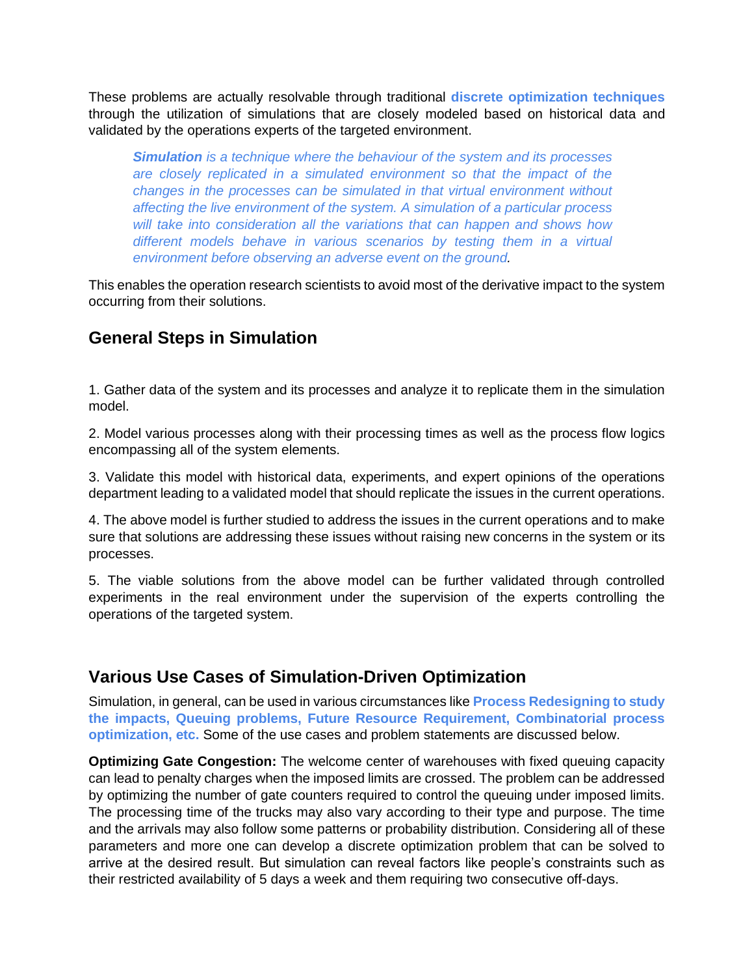These problems are actually resolvable through traditional **discrete optimization techniques** through the utilization of simulations that are closely modeled based on historical data and validated by the operations experts of the targeted environment.

*Simulation is a technique where the behaviour of the system and its processes are closely replicated in a simulated environment so that the impact of the changes in the processes can be simulated in that virtual environment without affecting the live environment of the system. A simulation of a particular process will take into consideration all the variations that can happen and shows how different models behave in various scenarios by testing them in a virtual environment before observing an adverse event on the ground.*

This enables the operation research scientists to avoid most of the derivative impact to the system occurring from their solutions.

#### **General Steps in Simulation**

1. Gather data of the system and its processes and analyze it to replicate them in the simulation model.

2. Model various processes along with their processing times as well as the process flow logics encompassing all of the system elements.

3. Validate this model with historical data, experiments, and expert opinions of the operations department leading to a validated model that should replicate the issues in the current operations.

4. The above model is further studied to address the issues in the current operations and to make sure that solutions are addressing these issues without raising new concerns in the system or its processes.

5. The viable solutions from the above model can be further validated through controlled experiments in the real environment under the supervision of the experts controlling the operations of the targeted system.

#### **Various Use Cases of Simulation-Driven Optimization**

Simulation, in general, can be used in various circumstances like **Process Redesigning to study the impacts, Queuing problems, Future Resource Requirement, Combinatorial process optimization, etc.** Some of the use cases and problem statements are discussed below.

**Optimizing Gate Congestion:** The welcome center of warehouses with fixed queuing capacity can lead to penalty charges when the imposed limits are crossed. The problem can be addressed by optimizing the number of gate counters required to control the queuing under imposed limits. The processing time of the trucks may also vary according to their type and purpose. The time and the arrivals may also follow some patterns or probability distribution. Considering all of these parameters and more one can develop a discrete optimization problem that can be solved to arrive at the desired result. But simulation can reveal factors like people's constraints such as their restricted availability of 5 days a week and them requiring two consecutive off-days.